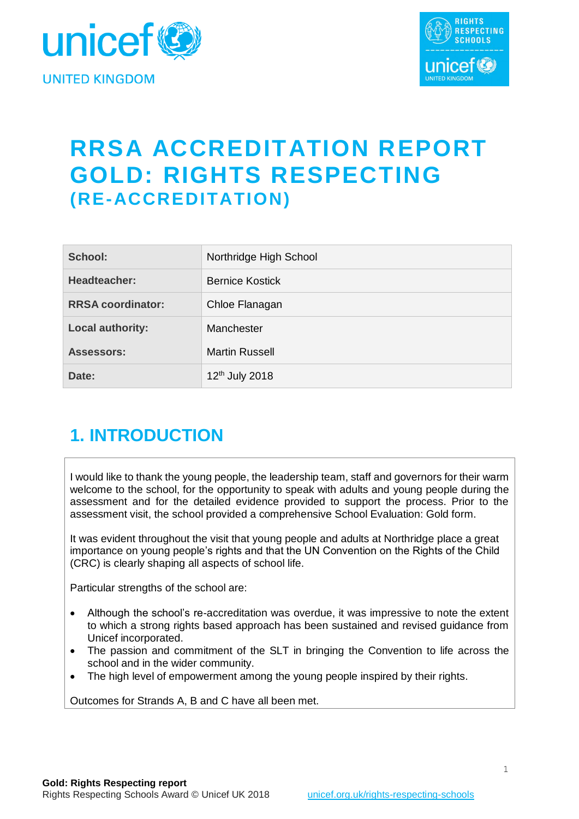



# **RRSA ACCREDITATION REPORT GOLD: RIGHTS RESPECTING (RE-ACCREDITATION)**

| School:                  | Northridge High School     |
|--------------------------|----------------------------|
| Headteacher:             | <b>Bernice Kostick</b>     |
| <b>RRSA coordinator:</b> | Chloe Flanagan             |
| <b>Local authority:</b>  | Manchester                 |
| <b>Assessors:</b>        | <b>Martin Russell</b>      |
| Date:                    | 12 <sup>th</sup> July 2018 |

# **1. INTRODUCTION**

I would like to thank the young people, the leadership team, staff and governors for their warm welcome to the school, for the opportunity to speak with adults and young people during the assessment and for the detailed evidence provided to support the process. Prior to the assessment visit, the school provided a comprehensive School Evaluation: Gold form.

It was evident throughout the visit that young people and adults at Northridge place a great importance on young people's rights and that the UN Convention on the Rights of the Child (CRC) is clearly shaping all aspects of school life.

Particular strengths of the school are:

- Although the school's re-accreditation was overdue, it was impressive to note the extent to which a strong rights based approach has been sustained and revised guidance from Unicef incorporated.
- The passion and commitment of the SLT in bringing the Convention to life across the school and in the wider community.
- The high level of empowerment among the young people inspired by their rights.

Outcomes for Strands A, B and C have all been met.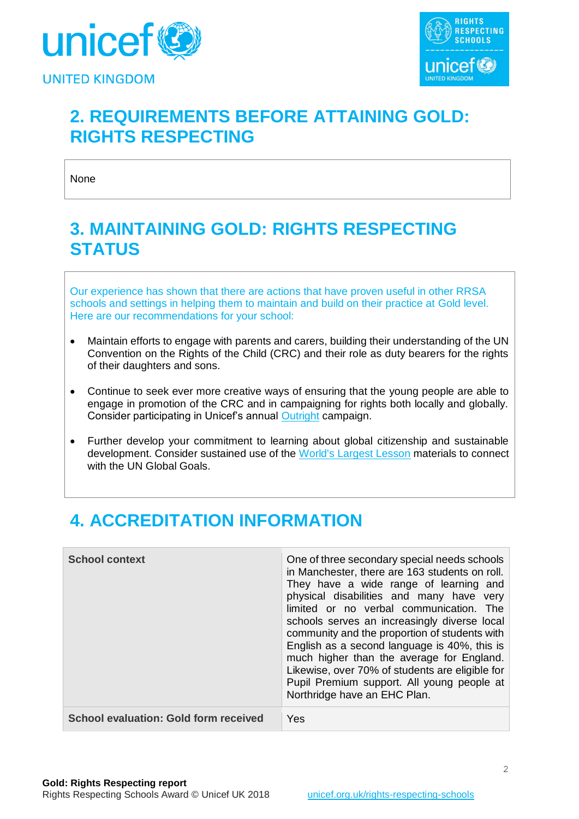



# **2. REQUIREMENTS BEFORE ATTAINING GOLD: RIGHTS RESPECTING**

None

### **3. MAINTAINING GOLD: RIGHTS RESPECTING STATUS**

Our experience has shown that there are actions that have proven useful in other RRSA schools and settings in helping them to maintain and build on their practice at Gold level. Here are our recommendations for your school:

- Maintain efforts to engage with parents and carers, building their understanding of the UN Convention on the Rights of the Child (CRC) and their role as duty bearers for the rights of their daughters and sons.
- Continue to seek ever more creative ways of ensuring that the young people are able to engage in promotion of the CRC and in campaigning for rights both locally and globally. Consider participating in Unicef's annual [Outright](https://www.unicef.org.uk/rights-respecting-schools/outright/) campaign.
- Further develop your commitment to learning about global citizenship and sustainable development. Consider sustained use of the [World's Largest Lesson](http://worldslargestlesson.globalgoals.org/) materials to connect with the UN Global Goals.

# **4. ACCREDITATION INFORMATION**

| <b>School context</b>                        | One of three secondary special needs schools<br>in Manchester, there are 163 students on roll.<br>They have a wide range of learning and<br>physical disabilities and many have very<br>limited or no verbal communication. The<br>schools serves an increasingly diverse local<br>community and the proportion of students with<br>English as a second language is 40%, this is<br>much higher than the average for England.<br>Likewise, over 70% of students are eligible for<br>Pupil Premium support. All young people at<br>Northridge have an EHC Plan. |
|----------------------------------------------|----------------------------------------------------------------------------------------------------------------------------------------------------------------------------------------------------------------------------------------------------------------------------------------------------------------------------------------------------------------------------------------------------------------------------------------------------------------------------------------------------------------------------------------------------------------|
| <b>School evaluation: Gold form received</b> | Yes                                                                                                                                                                                                                                                                                                                                                                                                                                                                                                                                                            |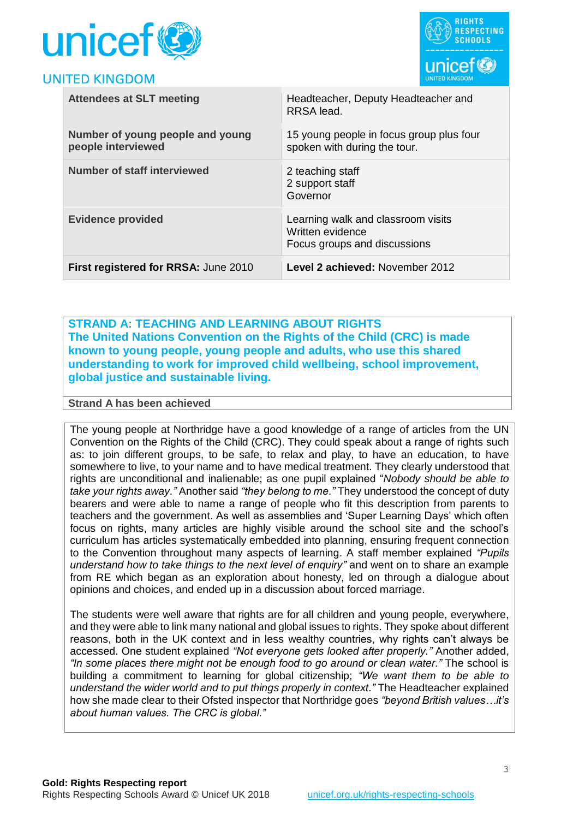



| <b>Attendees at SLT meeting</b>                        | Headteacher, Deputy Headteacher and<br>RRSA lead.                                      |
|--------------------------------------------------------|----------------------------------------------------------------------------------------|
| Number of young people and young<br>people interviewed | 15 young people in focus group plus four<br>spoken with during the tour.               |
| <b>Number of staff interviewed</b>                     | 2 teaching staff<br>2 support staff<br>Governor                                        |
| <b>Evidence provided</b>                               | Learning walk and classroom visits<br>Written evidence<br>Focus groups and discussions |
| First registered for RRSA: June 2010                   | Level 2 achieved: November 2012                                                        |

**STRAND A: TEACHING AND LEARNING ABOUT RIGHTS The United Nations Convention on the Rights of the Child (CRC) is made known to young people, young people and adults, who use this shared understanding to work for improved child wellbeing, school improvement, global justice and sustainable living.**

#### **Strand A has been achieved**

The young people at Northridge have a good knowledge of a range of articles from the UN Convention on the Rights of the Child (CRC). They could speak about a range of rights such as: to join different groups, to be safe, to relax and play, to have an education, to have somewhere to live, to your name and to have medical treatment. They clearly understood that rights are unconditional and inalienable; as one pupil explained "*Nobody should be able to take your rights away."* Another said *"they belong to me."* They understood the concept of duty bearers and were able to name a range of people who fit this description from parents to teachers and the government. As well as assemblies and 'Super Learning Days' which often focus on rights, many articles are highly visible around the school site and the school's curriculum has articles systematically embedded into planning, ensuring frequent connection to the Convention throughout many aspects of learning. A staff member explained *"Pupils understand how to take things to the next level of enquiry"* and went on to share an example from RE which began as an exploration about honesty, led on through a dialogue about opinions and choices, and ended up in a discussion about forced marriage.

The students were well aware that rights are for all children and young people, everywhere, and they were able to link many national and global issues to rights. They spoke about different reasons, both in the UK context and in less wealthy countries, why rights can't always be accessed. One student explained *"Not everyone gets looked after properly."* Another added, *"In some places there might not be enough food to go around or clean water."* The school is building a commitment to learning for global citizenship; *"We want them to be able to understand the wider world and to put things properly in context."* The Headteacher explained how she made clear to their Ofsted inspector that Northridge goes *"beyond British values…it's about human values. The CRC is global."*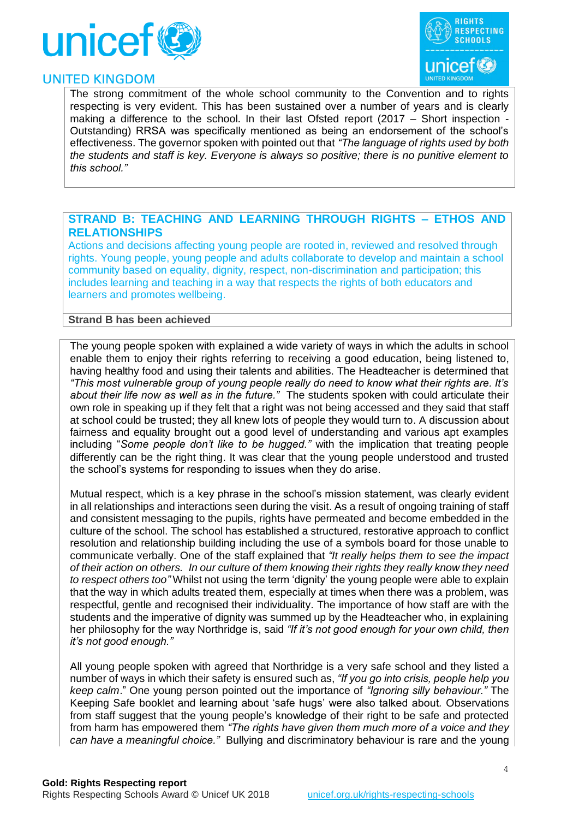



The strong commitment of the whole school community to the Convention and to rights respecting is very evident. This has been sustained over a number of years and is clearly making a difference to the school. In their last Ofsted report (2017 – Short inspection -Outstanding) RRSA was specifically mentioned as being an endorsement of the school's effectiveness. The governor spoken with pointed out that *"The language of rights used by both the students and staff is key. Everyone is always so positive; there is no punitive element to this school."*

#### **STRAND B: TEACHING AND LEARNING THROUGH RIGHTS – ETHOS AND RELATIONSHIPS**

Actions and decisions affecting young people are rooted in, reviewed and resolved through rights. Young people, young people and adults collaborate to develop and maintain a school community based on equality, dignity, respect, non-discrimination and participation; this includes learning and teaching in a way that respects the rights of both educators and learners and promotes wellbeing.

#### **Strand B has been achieved**

The young people spoken with explained a wide variety of ways in which the adults in school enable them to enjoy their rights referring to receiving a good education, being listened to, having healthy food and using their talents and abilities. The Headteacher is determined that *"This most vulnerable group of young people really do need to know what their rights are. It's about their life now as well as in the future."* The students spoken with could articulate their own role in speaking up if they felt that a right was not being accessed and they said that staff at school could be trusted; they all knew lots of people they would turn to. A discussion about fairness and equality brought out a good level of understanding and various apt examples including "*Some people don't like to be hugged."* with the implication that treating people differently can be the right thing. It was clear that the young people understood and trusted the school's systems for responding to issues when they do arise.

Mutual respect, which is a key phrase in the school's mission statement, was clearly evident in all relationships and interactions seen during the visit. As a result of ongoing training of staff and consistent messaging to the pupils, rights have permeated and become embedded in the culture of the school. The school has established a structured, restorative approach to conflict resolution and relationship building including the use of a symbols board for those unable to communicate verbally. One of the staff explained that *"It really helps them to see the impact of their action on others. In our culture of them knowing their rights they really know they need to respect others too"* Whilst not using the term 'dignity' the young people were able to explain that the way in which adults treated them, especially at times when there was a problem, was respectful, gentle and recognised their individuality. The importance of how staff are with the students and the imperative of dignity was summed up by the Headteacher who, in explaining her philosophy for the way Northridge is, said *"If it's not good enough for your own child, then it's not good enough."*

All young people spoken with agreed that Northridge is a very safe school and they listed a number of ways in which their safety is ensured such as, *"If you go into crisis, people help you keep calm*." One young person pointed out the importance of *"Ignoring silly behaviour."* The Keeping Safe booklet and learning about 'safe hugs' were also talked about*.* Observations from staff suggest that the young people's knowledge of their right to be safe and protected from harm has empowered them *"The rights have given them much more of a voice and they can have a meaningful choice."* Bullying and discriminatory behaviour is rare and the young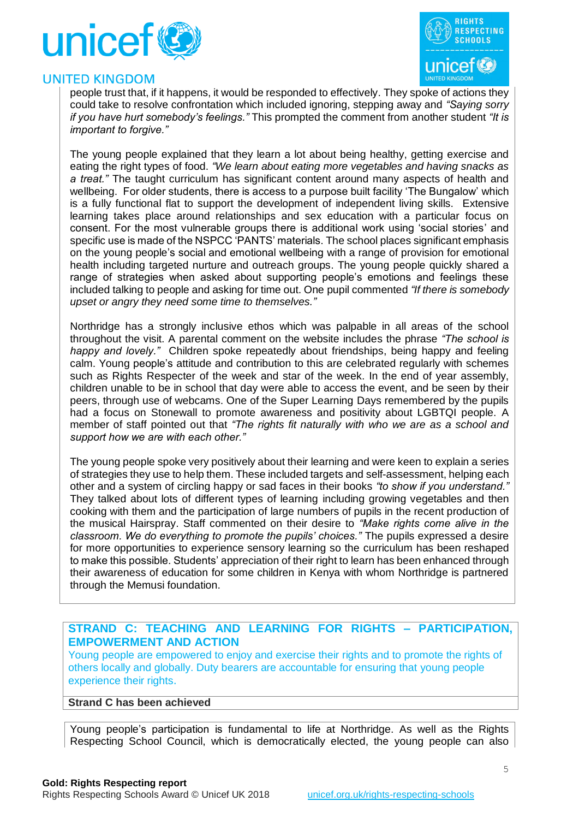



people trust that, if it happens, it would be responded to effectively. They spoke of actions they could take to resolve confrontation which included ignoring, stepping away and *"Saying sorry if you have hurt somebody's feelings."* This prompted the comment from another student *"It is important to forgive."*

The young people explained that they learn a lot about being healthy, getting exercise and eating the right types of food. *"We learn about eating more vegetables and having snacks as a treat."* The taught curriculum has significant content around many aspects of health and wellbeing. For older students, there is access to a purpose built facility 'The Bungalow' which is a fully functional flat to support the development of independent living skills. Extensive learning takes place around relationships and sex education with a particular focus on consent. For the most vulnerable groups there is additional work using 'social stories' and specific use is made of the NSPCC 'PANTS' materials. The school places significant emphasis on the young people's social and emotional wellbeing with a range of provision for emotional health including targeted nurture and outreach groups. The young people quickly shared a range of strategies when asked about supporting people's emotions and feelings these included talking to people and asking for time out. One pupil commented *"If there is somebody upset or angry they need some time to themselves."*

Northridge has a strongly inclusive ethos which was palpable in all areas of the school throughout the visit. A parental comment on the website includes the phrase *"The school is happy and lovely."* Children spoke repeatedly about friendships, being happy and feeling calm. Young people's attitude and contribution to this are celebrated regularly with schemes such as Rights Respecter of the week and star of the week. In the end of year assembly, children unable to be in school that day were able to access the event, and be seen by their peers, through use of webcams. One of the Super Learning Days remembered by the pupils had a focus on Stonewall to promote awareness and positivity about LGBTQI people. A member of staff pointed out that *"The rights fit naturally with who we are as a school and support how we are with each other."*

The young people spoke very positively about their learning and were keen to explain a series of strategies they use to help them. These included targets and self-assessment, helping each other and a system of circling happy or sad faces in their books *"to show if you understand."*  They talked about lots of different types of learning including growing vegetables and then cooking with them and the participation of large numbers of pupils in the recent production of the musical Hairspray. Staff commented on their desire to *"Make rights come alive in the classroom. We do everything to promote the pupils' choices."* The pupils expressed a desire for more opportunities to experience sensory learning so the curriculum has been reshaped to make this possible. Students' appreciation of their right to learn has been enhanced through their awareness of education for some children in Kenya with whom Northridge is partnered through the Memusi foundation.

#### **STRAND C: TEACHING AND LEARNING FOR RIGHTS – PARTICIPATION, EMPOWERMENT AND ACTION**

Young people are empowered to enjoy and exercise their rights and to promote the rights of others locally and globally. Duty bearers are accountable for ensuring that young people experience their rights.

#### **Strand C has been achieved**

Young people's participation is fundamental to life at Northridge. As well as the Rights Respecting School Council, which is democratically elected, the young people can also